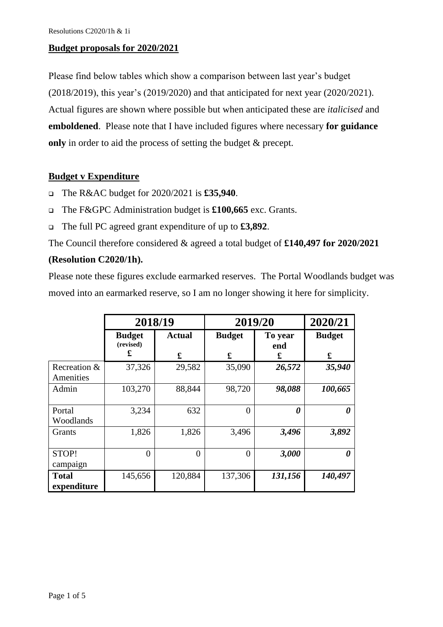### **Budget proposals for 2020/2021**

Please find below tables which show a comparison between last year's budget (2018/2019), this year's (2019/2020) and that anticipated for next year (2020/2021). Actual figures are shown where possible but when anticipated these are *italicised* and **emboldened**. Please note that I have included figures where necessary **for guidance only** in order to aid the process of setting the budget & precept.

### **Budget v Expenditure**

- ❑ The R&AC budget for 2020/2021 is **£35,940**.
- ❑ The F&GPC Administration budget is **£100,665** exc. Grants.
- ❑ The full PC agreed grant expenditure of up to **£3,892**.

The Council therefore considered & agreed a total budget of **£140,497 for 2020/2021**

#### **(Resolution C2020/1h).**

Please note these figures exclude earmarked reserves. The Portal Woodlands budget was moved into an earmarked reserve, so I am no longer showing it here for simplicity.

|                             | 2018/19                         |                    | 2019/20            | 2020/21             |                    |
|-----------------------------|---------------------------------|--------------------|--------------------|---------------------|--------------------|
|                             | <b>Budget</b><br>(revised)<br>£ | <b>Actual</b><br>£ | <b>Budget</b><br>£ | To year<br>end<br>£ | <b>Budget</b><br>£ |
| Recreation &<br>Amenities   | 37,326                          | 29,582             | 35,090             | 26,572              | 35,940             |
| Admin                       | 103,270                         | 88,844             | 98,720             | 98,088              | 100,665            |
| Portal<br>Woodlands         | 3,234                           | 632                | $\theta$           | 0                   | 0                  |
| Grants                      | 1,826                           | 1,826              | 3,496              | 3,496               | 3,892              |
| STOP!<br>campaign           | $\theta$                        | $\theta$           | $\theta$           | 3,000               | 0                  |
| <b>Total</b><br>expenditure | 145,656                         | 120,884            | 137,306            | 131,156             | 140,497            |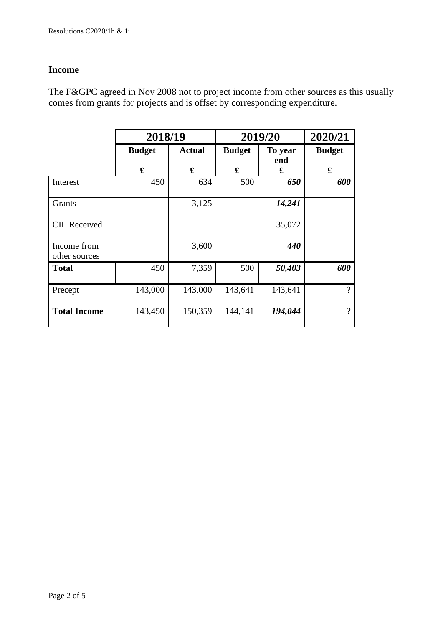## **Income**

The F&GPC agreed in Nov 2008 not to project income from other sources as this usually comes from grants for projects and is offset by corresponding expenditure.

|                              | 2018/19       |               | 2019/20       | 2020/21        |               |
|------------------------------|---------------|---------------|---------------|----------------|---------------|
|                              | <b>Budget</b> | <b>Actual</b> | <b>Budget</b> | To year<br>end | <b>Budget</b> |
|                              | £             | £             | £             | £              | £             |
| Interest                     | 450           | 634           | 500           | 650            | 600           |
| Grants                       |               | 3,125         |               | 14,241         |               |
| <b>CIL Received</b>          |               |               |               | 35,072         |               |
| Income from<br>other sources |               | 3,600         |               | 440            |               |
| <b>Total</b>                 | 450           | 7,359         | 500           | 50,403         | 600           |
| Precept                      | 143,000       | 143,000       | 143,641       | 143,641        | $\mathcal{P}$ |
| <b>Total Income</b>          | 143,450       | 150,359       | 144,141       | 194,044        | $\gamma$      |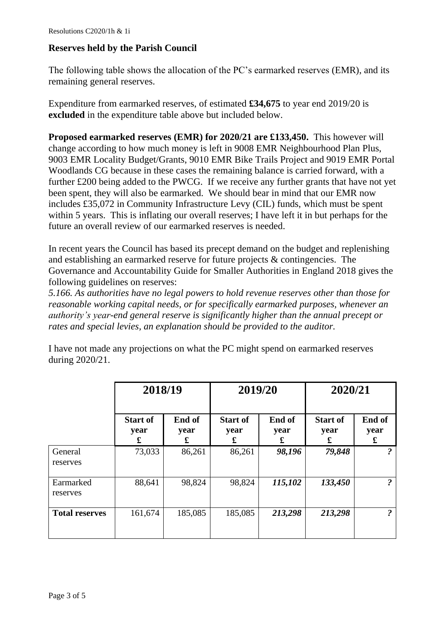# **Reserves held by the Parish Council**

The following table shows the allocation of the PC's earmarked reserves (EMR), and its remaining general reserves.

Expenditure from earmarked reserves, of estimated **£34,675** to year end 2019/20 is **excluded** in the expenditure table above but included below.

**Proposed earmarked reserves (EMR) for 2020/21 are £133,450.** This however will change according to how much money is left in 9008 EMR Neighbourhood Plan Plus, 9003 EMR Locality Budget/Grants, 9010 EMR Bike Trails Project and 9019 EMR Portal Woodlands CG because in these cases the remaining balance is carried forward, with a further £200 being added to the PWCG. If we receive any further grants that have not yet been spent, they will also be earmarked. We should bear in mind that our EMR now includes £35,072 in Community Infrastructure Levy (CIL) funds, which must be spent within 5 years. This is inflating our overall reserves; I have left it in but perhaps for the future an overall review of our earmarked reserves is needed.

In recent years the Council has based its precept demand on the budget and replenishing and establishing an earmarked reserve for future projects & contingencies. The Governance and Accountability Guide for Smaller Authorities in England 2018 gives the following guidelines on reserves:

*5.166. As authorities have no legal powers to hold revenue reserves other than those for reasonable working capital needs, or for specifically earmarked purposes, whenever an authority's year-end general reserve is significantly higher than the annual precept or rates and special levies, an explanation should be provided to the auditor.* 

|                       | 2018/19                      |                     | 2019/20                      |                     | 2020/21                      |                     |
|-----------------------|------------------------------|---------------------|------------------------------|---------------------|------------------------------|---------------------|
|                       | <b>Start of</b><br>year<br>£ | End of<br>year<br>£ | <b>Start of</b><br>year<br>£ | End of<br>year<br>£ | <b>Start of</b><br>year<br>£ | End of<br>year<br>£ |
| General<br>reserves   | 73,033                       | 86,261              | 86,261                       | 98,196              | 79,848                       | ?                   |
| Earmarked<br>reserves | 88,641                       | 98,824              | 98,824                       | 115,102             | 133,450                      | ?                   |
| <b>Total reserves</b> | 161,674                      | 185,085             | 185,085                      | 213,298             | 213,298                      | 2                   |

I have not made any projections on what the PC might spend on earmarked reserves during 2020/21.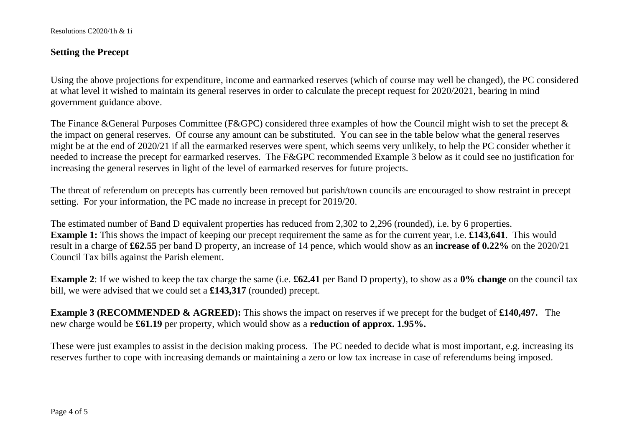Resolutions C2020/1h & 1i

### **Setting the Precept**

Using the above projections for expenditure, income and earmarked reserves (which of course may well be changed), the PC considered at what level it wished to maintain its general reserves in order to calculate the precept request for 2020/2021, bearing in mind government guidance above.

The Finance &General Purposes Committee (F&GPC) considered three examples of how the Council might wish to set the precept & the impact on general reserves. Of course any amount can be substituted. You can see in the table below what the general reserves might be at the end of 2020/21 if all the earmarked reserves were spent, which seems very unlikely, to help the PC consider whether it needed to increase the precept for earmarked reserves. The F&GPC recommended Example 3 below as it could see no justification for increasing the general reserves in light of the level of earmarked reserves for future projects.

The threat of referendum on precepts has currently been removed but parish/town councils are encouraged to show restraint in precept setting. For your information, the PC made no increase in precept for 2019/20.

The estimated number of Band D equivalent properties has reduced from 2,302 to 2,296 (rounded), i.e. by 6 properties. **Example 1:** This shows the impact of keeping our precept requirement the same as for the current year, i.e. £143,641. This would result in a charge of **£62.55** per band D property, an increase of 14 pence, which would show as an **increase of 0.22%** on the 2020/21 Council Tax bills against the Parish element.

**Example 2**: If we wished to keep the tax charge the same (i.e. **£62.41** per Band D property), to show as a **0% change** on the council tax bill, we were advised that we could set a **£143,317** (rounded) precept.

**Example 3 (RECOMMENDED & AGREED):** This shows the impact on reserves if we precept for the budget of **£140,497.** The new charge would be **£61.19** per property, which would show as a **reduction of approx. 1.95%.**

These were just examples to assist in the decision making process. The PC needed to decide what is most important, e.g. increasing its reserves further to cope with increasing demands or maintaining a zero or low tax increase in case of referendums being imposed.